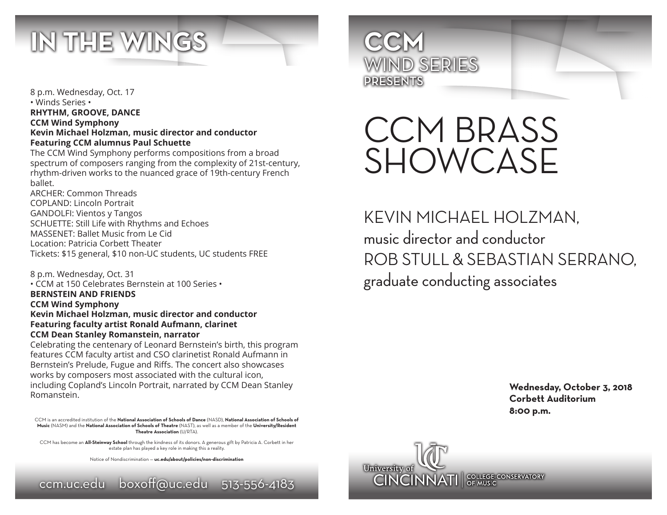

8 p.m. Wednesday, Oct. 17 • Winds Series • **RHYTHM, GROOVE, DANCE CCM Wind Symphony Kevin Michael Holzman, music director and conductor Featuring CCM alumnus Paul Schuette**

The CCM Wind Symphony performs compositions from a broad spectrum of composers ranging from the complexity of 21st-century, rhythm-driven works to the nuanced grace of 19th-century French ballet.

ARCHER: Common Threads COPLAND: Lincoln Portrait GANDOLFI: Vientos y Tangos SCHUETTE: Still Life with Rhythms and Echoes MASSENET: Ballet Music from Le Cid Location: Patricia Corbett Theater Tickets: \$15 general, \$10 non-UC students, UC students FREE

8 p.m. Wednesday, Oct. 31 • CCM at 150 Celebrates Bernstein at 100 Series • **BERNSTEIN AND FRIENDS CCM Wind Symphony Kevin Michael Holzman, music director and conductor Featuring faculty artist Ronald Aufmann, clarinet CCM Dean Stanley Romanstein, narrator**

Celebrating the centenary of Leonard Bernstein's birth, this program features CCM faculty artist and CSO clarinetist Ronald Aufmann in Bernstein's Prelude, Fugue and Riffs. The concert also showcases works by composers most associated with the cultural icon, including Copland's Lincoln Portrait, narrated by CCM Dean Stanley Romanstein.

CCM is an accredited institution of the **National Association of Schools of Dance** (NASD), **National Association of Schools of Music** (NASM) and the **National Association of Schools of Theatre** (NAST), as well as a member of the **University/Resident Theatre Association** (U/RTA).

CCM has become an **All-Steinway School** through the kindness of its donors. A generous gift by Patricia A. Corbett in her estate plan has played a key role in making this a reality.

Notice of Nondiscrimination — **uc.edu/about/policies/non-discrimination**





# CCM BRASS SHOWCASE

KEVIN MICHAEL HOLZMAN, music director and conductor ROB STULL & SEBASTIAN SERRANO, graduate conducting associates

> **Wednesday, October 3, 2018 Corbett Auditorium 8:00 p.m.**